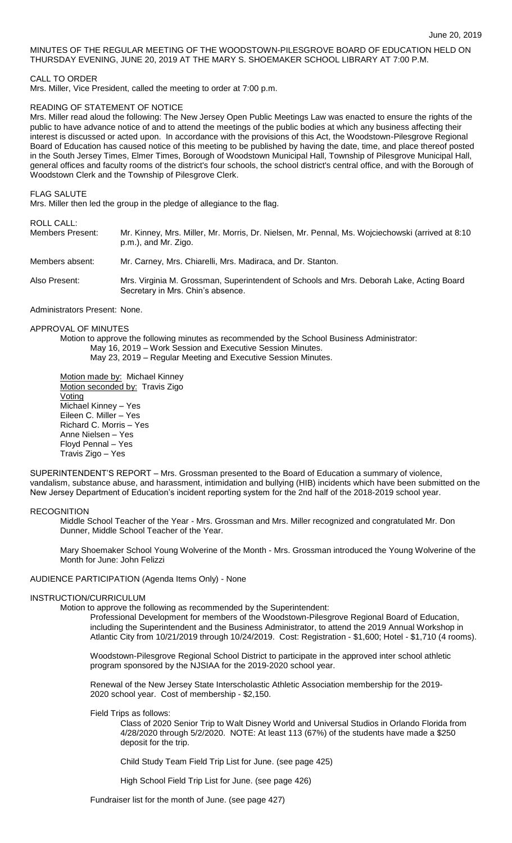## MINUTES OF THE REGULAR MEETING OF THE WOODSTOWN-PILESGROVE BOARD OF EDUCATION HELD ON THURSDAY EVENING, JUNE 20, 2019 AT THE MARY S. SHOEMAKER SCHOOL LIBRARY AT 7:00 P.M.

### CALL TO ORDER

Mrs. Miller, Vice President, called the meeting to order at 7:00 p.m.

### READING OF STATEMENT OF NOTICE

Mrs. Miller read aloud the following: The New Jersey Open Public Meetings Law was enacted to ensure the rights of the public to have advance notice of and to attend the meetings of the public bodies at which any business affecting their interest is discussed or acted upon. In accordance with the provisions of this Act, the Woodstown-Pilesgrove Regional Board of Education has caused notice of this meeting to be published by having the date, time, and place thereof posted in the South Jersey Times, Elmer Times, Borough of Woodstown Municipal Hall, Township of Pilesgrove Municipal Hall, general offices and faculty rooms of the district's four schools, the school district's central office, and with the Borough of Woodstown Clerk and the Township of Pilesgrove Clerk.

FLAG SALUTE

Mrs. Miller then led the group in the pledge of allegiance to the flag.

### ROLL CALL:

| Members Present: | Mr. Kinney, Mrs. Miller, Mr. Morris, Dr. Nielsen, Mr. Pennal, Ms. Wojciechowski (arrived at 8:10 |
|------------------|--------------------------------------------------------------------------------------------------|
|                  | p.m.), and Mr. Zigo.                                                                             |

Members absent: Mr. Carney, Mrs. Chiarelli, Mrs. Madiraca, and Dr. Stanton.

Also Present: Mrs. Virginia M. Grossman, Superintendent of Schools and Mrs. Deborah Lake, Acting Board Secretary in Mrs. Chin's absence.

Administrators Present: None.

## APPROVAL OF MINUTES

Motion to approve the following minutes as recommended by the School Business Administrator: May 16, 2019 – Work Session and Executive Session Minutes. May 23, 2019 – Regular Meeting and Executive Session Minutes.

Motion made by: Michael Kinney Motion seconded by: Travis Zigo Voting Michael Kinney – Yes Eileen C. Miller – Yes Richard C. Morris – Yes Anne Nielsen – Yes Floyd Pennal – Yes Travis Zigo – Yes

SUPERINTENDENT'S REPORT – Mrs. Grossman presented to the Board of Education a summary of violence, vandalism, substance abuse, and harassment, intimidation and bullying (HIB) incidents which have been submitted on the New Jersey Department of Education's incident reporting system for the 2nd half of the 2018-2019 school year.

### **RECOGNITION**

Middle School Teacher of the Year - Mrs. Grossman and Mrs. Miller recognized and congratulated Mr. Don Dunner, Middle School Teacher of the Year.

Mary Shoemaker School Young Wolverine of the Month - Mrs. Grossman introduced the Young Wolverine of the Month for June: John Felizzi

#### AUDIENCE PARTICIPATION (Agenda Items Only) - None

### INSTRUCTION/CURRICULUM

Motion to approve the following as recommended by the Superintendent:

Professional Development for members of the Woodstown-Pilesgrove Regional Board of Education, including the Superintendent and the Business Administrator, to attend the 2019 Annual Workshop in Atlantic City from 10/21/2019 through 10/24/2019. Cost: Registration - \$1,600; Hotel - \$1,710 (4 rooms).

Woodstown-Pilesgrove Regional School District to participate in the approved inter school athletic program sponsored by the NJSIAA for the 2019-2020 school year.

Renewal of the New Jersey State Interscholastic Athletic Association membership for the 2019- 2020 school year. Cost of membership - \$2,150.

Field Trips as follows:

Class of 2020 Senior Trip to Walt Disney World and Universal Studios in Orlando Florida from 4/28/2020 through 5/2/2020. NOTE: At least 113 (67%) of the students have made a \$250 deposit for the trip.

Child Study Team Field Trip List for June. (see page 425)

High School Field Trip List for June. (see page 426)

Fundraiser list for the month of June. (see page 427)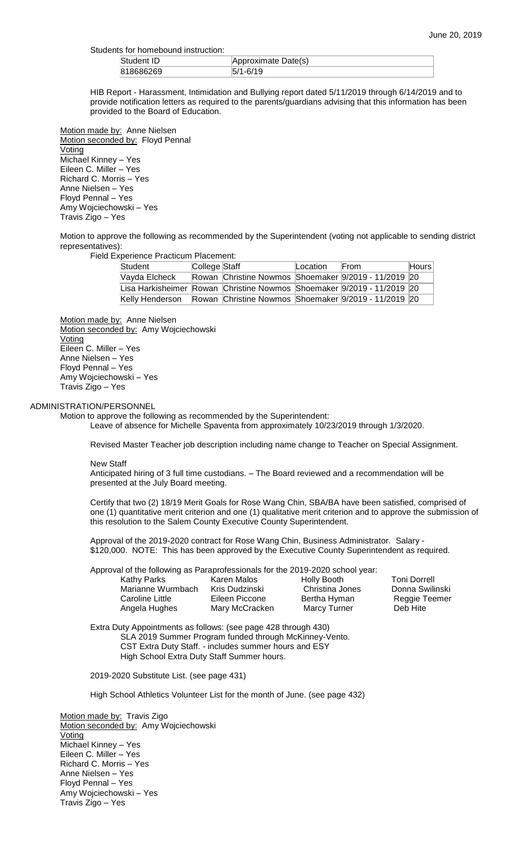| Students for homebound instruction: |                     |
|-------------------------------------|---------------------|
| Student ID                          | Approximate Date(s) |
| 818686269                           | $5/1 - 6/19$        |

HIB Report - Harassment, Intimidation and Bullying report dated 5/11/2019 through 6/14/2019 and to provide notification letters as required to the parents/guardians advising that this information has been provided to the Board of Education.

Motion made by: Anne Nielsen Motion seconded by: Floyd Pennal Voting Michael Kinney – Yes Eileen C. Miller – Yes Richard C. Morris – Yes Anne Nielsen – Yes Floyd Pennal – Yes Amy Wojciechowski – Yes Travis Zigo – Yes

Motion to approve the following as recommended by the Superintendent (voting not applicable to sending district representatives):

Field Experience Practicum Placement:

| Student         | College Staff |                                                                        | Location | From | Hours |
|-----------------|---------------|------------------------------------------------------------------------|----------|------|-------|
| Vayda Elcheck   |               | Rowan Christine Nowmos Shoemaker 9/2019 - 11/2019 20                   |          |      |       |
|                 |               | Lisa Harkisheimer Rowan Christine Nowmos Shoemaker 9/2019 - 11/2019 20 |          |      |       |
| Kelly Henderson |               | Rowan Christine Nowmos Shoemaker 9/2019 - 11/2019 20                   |          |      |       |

Motion made by: Anne Nielsen Motion seconded by: Amy Wojciechowski **Voting** Eileen C. Miller – Yes Anne Nielsen – Yes Floyd Pennal – Yes Amy Wojciechowski – Yes Travis Zigo – Yes

## ADMINISTRATION/PERSONNEL

Motion to approve the following as recommended by the Superintendent: Leave of absence for Michelle Spaventa from approximately 10/23/2019 through 1/3/2020.

Revised Master Teacher job description including name change to Teacher on Special Assignment.

New Staff

Anticipated hiring of 3 full time custodians. – The Board reviewed and a recommendation will be presented at the July Board meeting.

Certify that two (2) 18/19 Merit Goals for Rose Wang Chin, SBA/BA have been satisfied, comprised of one (1) quantitative merit criterion and one (1) qualitative merit criterion and to approve the submission of this resolution to the Salem County Executive County Superintendent.

Approval of the 2019-2020 contract for Rose Wang Chin, Business Administrator. Salary - \$120,000. NOTE: This has been approved by the Executive County Superintendent as required.

Approval of the following as Paraprofessionals for the 2019-2020 school year:

| <b>Kathy Parks</b> | Kare        |
|--------------------|-------------|
| Marianne Wurmbach  | <b>Kris</b> |
| Caroline Little    | Eilee       |
| Angela Hughes      | Mar         |

en Malos **Holly Booth** Toni Dorrell Dudzinski Christina Jones Donna Swilinski<br>
en Piccone Bertha Hyman Reggie Teemer Caroline Little Eileen Piccone Bertha Hyman Reggie Teemer y McCracken Marcy Turner

Extra Duty Appointments as follows: (see page 428 through 430) SLA 2019 Summer Program funded through McKinney-Vento. CST Extra Duty Staff. - includes summer hours and ESY High School Extra Duty Staff Summer hours.

2019-2020 Substitute List. (see page 431)

High School Athletics Volunteer List for the month of June. (see page 432)

Motion made by: Travis Zigo Motion seconded by: Amy Wojciechowski Voting Michael Kinney – Yes Eileen C. Miller – Yes Richard C. Morris – Yes Anne Nielsen – Yes Floyd Pennal – Yes Amy Wojciechowski – Yes Travis Zigo – Yes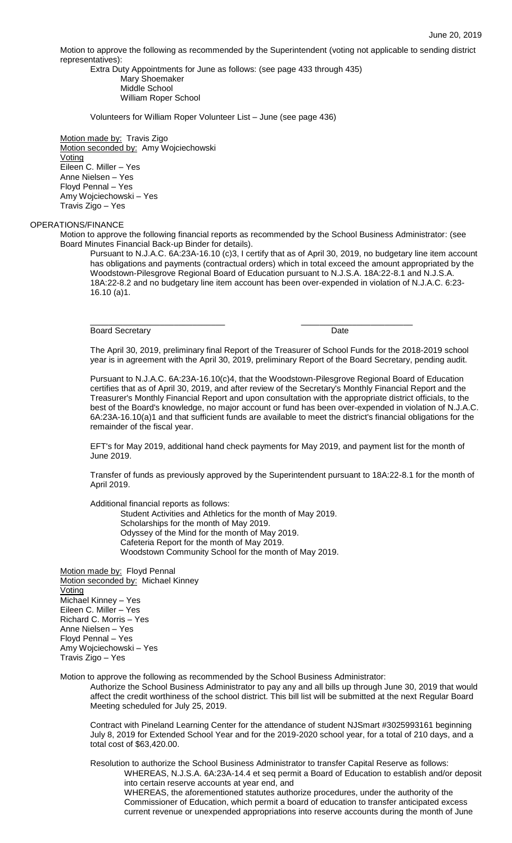Motion to approve the following as recommended by the Superintendent (voting not applicable to sending district representatives):

Extra Duty Appointments for June as follows: (see page 433 through 435) Mary Shoemaker Middle School William Roper School

Volunteers for William Roper Volunteer List – June (see page 436)

Motion made by: Travis Zigo Motion seconded by: Amy Wojciechowski Voting Eileen C. Miller – Yes Anne Nielsen – Yes Floyd Pennal – Yes Amy Wojciechowski – Yes Travis Zigo – Yes

# OPERATIONS/FINANCE

Motion to approve the following financial reports as recommended by the School Business Administrator: (see Board Minutes Financial Back-up Binder for details).

\_\_\_\_\_\_\_\_\_\_\_\_\_\_\_\_\_\_\_\_\_\_\_\_\_\_\_\_\_ \_\_\_\_\_\_\_\_\_\_\_\_\_\_\_\_\_\_\_\_\_\_\_\_

Pursuant to N.J.A.C. 6A:23A-16.10 (c)3, I certify that as of April 30, 2019, no budgetary line item account has obligations and payments (contractual orders) which in total exceed the amount appropriated by the Woodstown-Pilesgrove Regional Board of Education pursuant to N.J.S.A. 18A:22-8.1 and N.J.S.A. 18A:22-8.2 and no budgetary line item account has been over-expended in violation of N.J.A.C. 6:23- 16.10 (a)1.

Board Secretary **Date** 

The April 30, 2019, preliminary final Report of the Treasurer of School Funds for the 2018-2019 school year is in agreement with the April 30, 2019, preliminary Report of the Board Secretary, pending audit.

Pursuant to N.J.A.C. 6A:23A-16.10(c)4, that the Woodstown-Pilesgrove Regional Board of Education certifies that as of April 30, 2019, and after review of the Secretary's Monthly Financial Report and the Treasurer's Monthly Financial Report and upon consultation with the appropriate district officials, to the best of the Board's knowledge, no major account or fund has been over-expended in violation of N.J.A.C. 6A:23A-16.10(a)1 and that sufficient funds are available to meet the district's financial obligations for the remainder of the fiscal year.

EFT's for May 2019, additional hand check payments for May 2019, and payment list for the month of June 2019.

Transfer of funds as previously approved by the Superintendent pursuant to 18A:22-8.1 for the month of April 2019.

Additional financial reports as follows:

Student Activities and Athletics for the month of May 2019. Scholarships for the month of May 2019. Odyssey of the Mind for the month of May 2019. Cafeteria Report for the month of May 2019. Woodstown Community School for the month of May 2019.

Motion made by: Floyd Pennal Motion seconded by: Michael Kinney Voting Michael Kinney – Yes Eileen C. Miller – Yes Richard C. Morris – Yes Anne Nielsen – Yes Floyd Pennal – Yes Amy Wojciechowski – Yes Travis Zigo – Yes

Motion to approve the following as recommended by the School Business Administrator:

Authorize the School Business Administrator to pay any and all bills up through June 30, 2019 that would affect the credit worthiness of the school district. This bill list will be submitted at the next Regular Board Meeting scheduled for July 25, 2019.

Contract with Pineland Learning Center for the attendance of student NJSmart #3025993161 beginning July 8, 2019 for Extended School Year and for the 2019-2020 school year, for a total of 210 days, and a total cost of \$63,420.00.

Resolution to authorize the School Business Administrator to transfer Capital Reserve as follows: WHEREAS, N.J.S.A. 6A:23A-14.4 et seq permit a Board of Education to establish and/or deposit into certain reserve accounts at year end, and WHEREAS, the aforementioned statutes authorize procedures, under the authority of the

Commissioner of Education, which permit a board of education to transfer anticipated excess current revenue or unexpended appropriations into reserve accounts during the month of June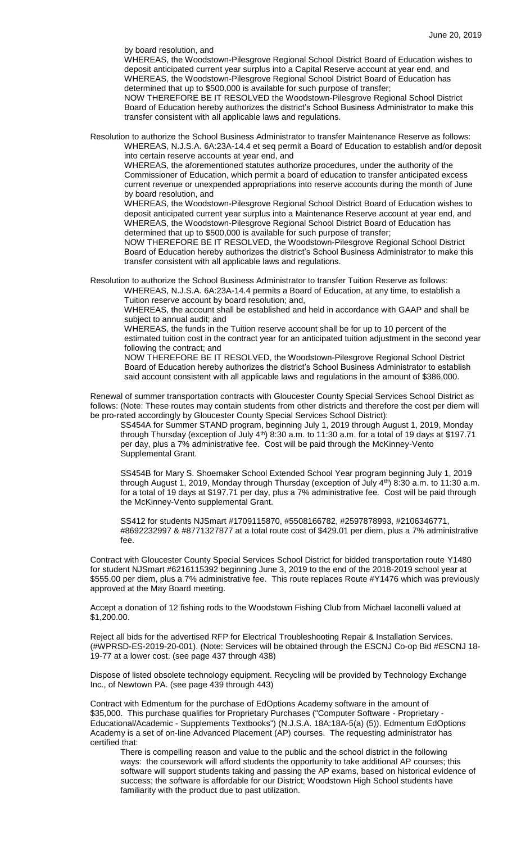by board resolution, and

WHEREAS, the Woodstown-Pilesgrove Regional School District Board of Education wishes to deposit anticipated current year surplus into a Capital Reserve account at year end, and WHEREAS, the Woodstown-Pilesgrove Regional School District Board of Education has determined that up to \$500,000 is available for such purpose of transfer;

NOW THEREFORE BE IT RESOLVED the Woodstown-Pilesgrove Regional School District Board of Education hereby authorizes the district's School Business Administrator to make this transfer consistent with all applicable laws and regulations.

Resolution to authorize the School Business Administrator to transfer Maintenance Reserve as follows: WHEREAS, N.J.S.A. 6A:23A-14.4 et seq permit a Board of Education to establish and/or deposit into certain reserve accounts at year end, and

WHEREAS, the aforementioned statutes authorize procedures, under the authority of the Commissioner of Education, which permit a board of education to transfer anticipated excess current revenue or unexpended appropriations into reserve accounts during the month of June by board resolution, and

WHEREAS, the Woodstown-Pilesgrove Regional School District Board of Education wishes to deposit anticipated current year surplus into a Maintenance Reserve account at year end, and WHEREAS, the Woodstown-Pilesgrove Regional School District Board of Education has determined that up to \$500,000 is available for such purpose of transfer;

NOW THEREFORE BE IT RESOLVED, the Woodstown-Pilesgrove Regional School District Board of Education hereby authorizes the district's School Business Administrator to make this transfer consistent with all applicable laws and regulations.

Resolution to authorize the School Business Administrator to transfer Tuition Reserve as follows:

WHEREAS, N.J.S.A. 6A:23A-14.4 permits a Board of Education, at any time, to establish a Tuition reserve account by board resolution; and,

WHEREAS, the account shall be established and held in accordance with GAAP and shall be subject to annual audit; and

WHEREAS, the funds in the Tuition reserve account shall be for up to 10 percent of the estimated tuition cost in the contract year for an anticipated tuition adjustment in the second year following the contract; and

NOW THEREFORE BE IT RESOLVED, the Woodstown-Pilesgrove Regional School District Board of Education hereby authorizes the district's School Business Administrator to establish said account consistent with all applicable laws and regulations in the amount of \$386,000.

Renewal of summer transportation contracts with Gloucester County Special Services School District as follows: (Note: These routes may contain students from other districts and therefore the cost per diem will be pro-rated accordingly by Gloucester County Special Services School District):

SS454A for Summer STAND program, beginning July 1, 2019 through August 1, 2019, Monday through Thursday (exception of July 4<sup>th</sup>) 8:30 a.m. to 11:30 a.m. for a total of 19 days at \$197.71 per day, plus a 7% administrative fee. Cost will be paid through the McKinney-Vento Supplemental Grant.

SS454B for Mary S. Shoemaker School Extended School Year program beginning July 1, 2019 through August 1, 2019, Monday through Thursday (exception of July 4<sup>th</sup>) 8:30 a.m. to 11:30 a.m. for a total of 19 days at \$197.71 per day, plus a 7% administrative fee. Cost will be paid through the McKinney-Vento supplemental Grant.

SS412 for students NJSmart #1709115870, #5508166782, #2597878993, #2106346771, #8692232997 & #8771327877 at a total route cost of \$429.01 per diem, plus a 7% administrative fee.

Contract with Gloucester County Special Services School District for bidded transportation route Y1480 for student NJSmart #6216115392 beginning June 3, 2019 to the end of the 2018-2019 school year at \$555.00 per diem, plus a 7% administrative fee. This route replaces Route #Y1476 which was previously approved at the May Board meeting.

Accept a donation of 12 fishing rods to the Woodstown Fishing Club from Michael Iaconelli valued at \$1,200.00.

Reject all bids for the advertised RFP for Electrical Troubleshooting Repair & Installation Services. (#WPRSD-ES-2019-20-001). (Note: Services will be obtained through the ESCNJ Co-op Bid #ESCNJ 18- 19-77 at a lower cost. (see page 437 through 438)

Dispose of listed obsolete technology equipment. Recycling will be provided by Technology Exchange Inc., of Newtown PA. (see page 439 through 443)

Contract with Edmentum for the purchase of EdOptions Academy software in the amount of \$35,000. This purchase qualifies for Proprietary Purchases ("Computer Software - Proprietary - Educational/Academic - Supplements Textbooks") (N.J.S.A. 18A:18A-5(a) (5)). Edmentum EdOptions Academy is a set of on-line Advanced Placement (AP) courses. The requesting administrator has certified that:

There is compelling reason and value to the public and the school district in the following ways: the coursework will afford students the opportunity to take additional AP courses; this software will support students taking and passing the AP exams, based on historical evidence of success; the software is affordable for our District; Woodstown High School students have familiarity with the product due to past utilization.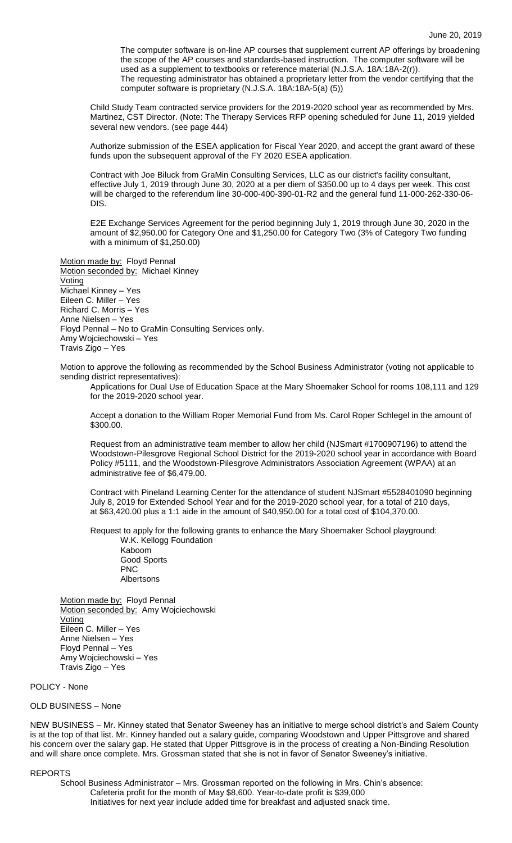The computer software is on-line AP courses that supplement current AP offerings by broadening the scope of the AP courses and standards-based instruction. The computer software will be used as a supplement to textbooks or reference material (N.J.S.A. 18A:18A-2(r)). The requesting administrator has obtained a proprietary letter from the vendor certifying that the computer software is proprietary (N.J.S.A. 18A:18A-5(a) (5))

Child Study Team contracted service providers for the 2019-2020 school year as recommended by Mrs. Martinez, CST Director. (Note: The Therapy Services RFP opening scheduled for June 11, 2019 yielded several new vendors. (see page 444)

Authorize submission of the ESEA application for Fiscal Year 2020, and accept the grant award of these funds upon the subsequent approval of the FY 2020 ESEA application.

Contract with Joe Biluck from GraMin Consulting Services, LLC as our district's facility consultant, effective July 1, 2019 through June 30, 2020 at a per diem of \$350.00 up to 4 days per week. This cost will be charged to the referendum line 30-000-400-390-01-R2 and the general fund 11-000-262-330-06- DIS.

E2E Exchange Services Agreement for the period beginning July 1, 2019 through June 30, 2020 in the amount of \$2,950.00 for Category One and \$1,250.00 for Category Two (3% of Category Two funding with a minimum of \$1,250.00)

Motion made by: Floyd Pennal Motion seconded by: Michael Kinney Voting Michael Kinney – Yes Eileen C. Miller – Yes Richard C. Morris – Yes Anne Nielsen – Yes Floyd Pennal – No to GraMin Consulting Services only. Amy Wojciechowski – Yes Travis Zigo – Yes

Motion to approve the following as recommended by the School Business Administrator (voting not applicable to sending district representatives):

Applications for Dual Use of Education Space at the Mary Shoemaker School for rooms 108,111 and 129 for the 2019-2020 school year.

Accept a donation to the William Roper Memorial Fund from Ms. Carol Roper Schlegel in the amount of \$300.00.

Request from an administrative team member to allow her child (NJSmart #1700907196) to attend the Woodstown-Pilesgrove Regional School District for the 2019-2020 school year in accordance with Board Policy #5111, and the Woodstown-Pilesgrove Administrators Association Agreement (WPAA) at an administrative fee of \$6,479.00.

Contract with Pineland Learning Center for the attendance of student NJSmart #5528401090 beginning July 8, 2019 for Extended School Year and for the 2019-2020 school year, for a total of 210 days, at \$63,420.00 plus a 1:1 aide in the amount of \$40,950.00 for a total cost of \$104,370.00.

Request to apply for the following grants to enhance the Mary Shoemaker School playground: W.K. Kellogg Foundation

Kaboom Good Sports PNC Albertsons

Motion made by: Floyd Pennal Motion seconded by: Amy Wojciechowski Voting Eileen C. Miller – Yes Anne Nielsen – Yes Floyd Pennal – Yes Amy Wojciechowski – Yes Travis Zigo – Yes

POLICY - None

## OLD BUSINESS – None

NEW BUSINESS – Mr. Kinney stated that Senator Sweeney has an initiative to merge school district's and Salem County is at the top of that list. Mr. Kinney handed out a salary guide, comparing Woodstown and Upper Pittsgrove and shared his concern over the salary gap. He stated that Upper Pittsgrove is in the process of creating a Non-Binding Resolution and will share once complete. Mrs. Grossman stated that she is not in favor of Senator Sweeney's initiative.

#### REPORTS

School Business Administrator – Mrs. Grossman reported on the following in Mrs. Chin's absence: Cafeteria profit for the month of May \$8,600. Year-to-date profit is \$39,000 Initiatives for next year include added time for breakfast and adjusted snack time.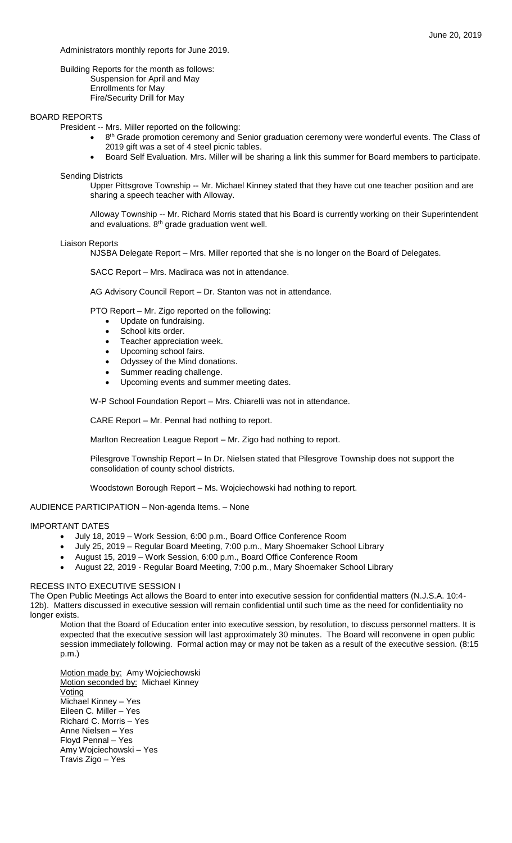### Administrators monthly reports for June 2019.

Building Reports for the month as follows: Suspension for April and May Enrollments for May Fire/Security Drill for May

### BOARD REPORTS

President -- Mrs. Miller reported on the following:

- 8<sup>th</sup> Grade promotion ceremony and Senior graduation ceremony were wonderful events. The Class of 2019 gift was a set of 4 steel picnic tables.
- Board Self Evaluation. Mrs. Miller will be sharing a link this summer for Board members to participate.

## Sending Districts

Upper Pittsgrove Township -- Mr. Michael Kinney stated that they have cut one teacher position and are sharing a speech teacher with Alloway.

Alloway Township -- Mr. Richard Morris stated that his Board is currently working on their Superintendent and evaluations. 8<sup>th</sup> grade graduation went well.

#### Liaison Reports

NJSBA Delegate Report – Mrs. Miller reported that she is no longer on the Board of Delegates.

SACC Report – Mrs. Madiraca was not in attendance.

AG Advisory Council Report – Dr. Stanton was not in attendance.

PTO Report – Mr. Zigo reported on the following:

- Update on fundraising.
- School kits order.
- Teacher appreciation week.
- Upcoming school fairs.
- Odyssey of the Mind donations.
- Summer reading challenge.
- Upcoming events and summer meeting dates.

W-P School Foundation Report – Mrs. Chiarelli was not in attendance.

CARE Report – Mr. Pennal had nothing to report.

Marlton Recreation League Report – Mr. Zigo had nothing to report.

Pilesgrove Township Report – In Dr. Nielsen stated that Pilesgrove Township does not support the consolidation of county school districts.

Woodstown Borough Report – Ms. Wojciechowski had nothing to report.

# AUDIENCE PARTICIPATION – Non-agenda Items. – None

## IMPORTANT DATES

- July 18, 2019 Work Session, 6:00 p.m., Board Office Conference Room
- July 25, 2019 Regular Board Meeting, 7:00 p.m., Mary Shoemaker School Library
	- August 15, 2019 Work Session, 6:00 p.m., Board Office Conference Room
- August 22, 2019 Regular Board Meeting, 7:00 p.m., Mary Shoemaker School Library

#### RECESS INTO EXECUTIVE SESSION I

The Open Public Meetings Act allows the Board to enter into executive session for confidential matters (N.J.S.A. 10:4- 12b). Matters discussed in executive session will remain confidential until such time as the need for confidentiality no longer exists.

Motion that the Board of Education enter into executive session, by resolution, to discuss personnel matters. It is expected that the executive session will last approximately 30 minutes. The Board will reconvene in open public session immediately following. Formal action may or may not be taken as a result of the executive session. (8:15 p.m.)

Motion made by: Amy Wojciechowski Motion seconded by: Michael Kinney Voting Michael Kinney – Yes Eileen C. Miller – Yes Richard C. Morris – Yes Anne Nielsen – Yes Floyd Pennal – Yes Amy Wojciechowski – Yes Travis Zigo – Yes